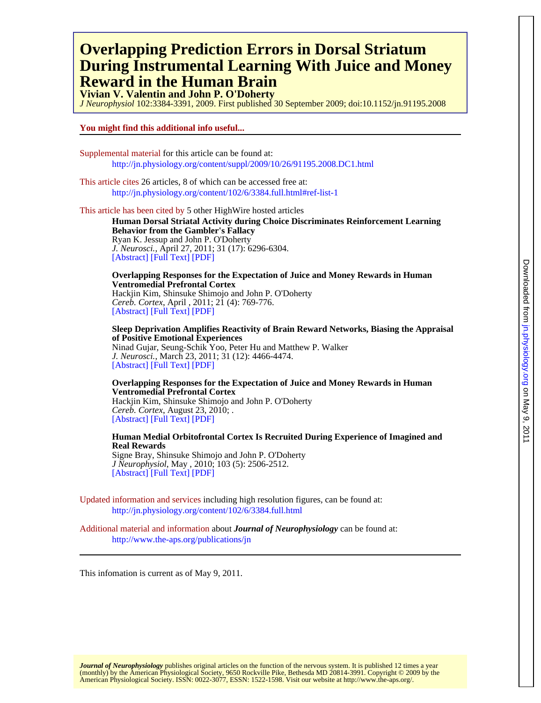## **Reward in the Human Brain During Instrumental Learning With Juice and Money Overlapping Prediction Errors in Dorsal Striatum**

**Vivian V. Valentin and John P. O'Doherty**

*J Neurophysiol* 102:3384-3391, 2009. First published 30 September 2009; doi:10.1152/jn.91195.2008

## **You might find this additional info useful...**

Supplemental material for this article can be found at: http://jn.physiology.org/content/suppl/2009/10/26/91195.2008.DC1.html

This article cites 26 articles, 8 of which can be accessed free at: <http://jn.physiology.org/content/102/6/3384.full.html#ref-list-1>

This article has been cited by 5 other HighWire hosted articles

[Abstract] [Full Text] [PDF] *J. Neurosci.*, April 27, 2011; 31 (17): 6296-6304. Ryan K. Jessup and John P. O'Doherty **Behavior from the Gambler's Fallacy Human Dorsal Striatal Activity during Choice Discriminates Reinforcement Learning**

[Abstract] [Full Text] [PDF] *Cereb. Cortex*, April , 2011; 21 (4): 769-776. Hackjin Kim, Shinsuke Shimojo and John P. O'Doherty **Ventromedial Prefrontal Cortex Overlapping Responses for the Expectation of Juice and Money Rewards in Human**

[Abstract] [Full Text] [PDF] *J. Neurosci.*, March 23, 2011; 31 (12): 4466-4474. Ninad Gujar, Seung-Schik Yoo, Peter Hu and Matthew P. Walker **of Positive Emotional Experiences Sleep Deprivation Amplifies Reactivity of Brain Reward Networks, Biasing the Appraisal**

[Abstract] [Full Text] [PDF] *Cereb. Cortex*, August 23, 2010; . Hackjin Kim, Shinsuke Shimojo and John P. O'Doherty **Ventromedial Prefrontal Cortex Overlapping Responses for the Expectation of Juice and Money Rewards in Human**

[Abstract] [Full Text] [PDF] *J Neurophysiol*, May , 2010; 103 (5): 2506-2512. Signe Bray, Shinsuke Shimojo and John P. O'Doherty **Real Rewards Human Medial Orbitofrontal Cortex Is Recruited During Experience of Imagined and**

Updated information and services including high resolution figures, can be found at: <http://jn.physiology.org/content/102/6/3384.full.html>

Additional material and information about *Journal of Neurophysiology* can be found at: http://www.the-aps.org/publications/jn

This infomation is current as of May 9, 2011.

(monthly) by the American Physiological Society, 9650 Rockville Pike, Bethesda MD 20814-3991. Copyright © 2009 by the<br>American Physiological Society. ISSN: 0022-3077, ESSN: 1522-1598. Visit our website at http://www.the-ap *Journal of Neurophysiology* publishes original articles on the function of the nervous system. It is published 12 times a year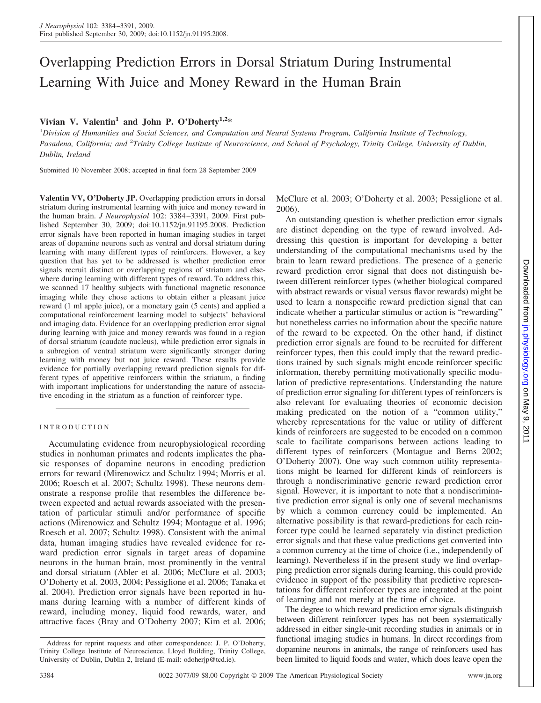# Overlapping Prediction Errors in Dorsal Striatum During Instrumental Learning With Juice and Money Reward in the Human Brain

## **Vivian V. Valentin<sup>1</sup> and John P. O'Doherty1,2\***

1 *Division of Humanities and Social Sciences, and Computation and Neural Systems Program, California Institute of Technology,* Pasadena, California; and <sup>2</sup>Trinity College Institute of Neuroscience, and School of Psychology, Trinity College, University of Dublin, *Dublin, Ireland*

Submitted 10 November 2008; accepted in final form 28 September 2009

**Valentin VV, O'Doherty JP.** Overlapping prediction errors in dorsal striatum during instrumental learning with juice and money reward in the human brain. *J Neurophysiol* 102: 3384 –3391, 2009. First published September 30, 2009; doi:10.1152/jn.91195.2008. Prediction error signals have been reported in human imaging studies in target areas of dopamine neurons such as ventral and dorsal striatum during learning with many different types of reinforcers. However, a key question that has yet to be addressed is whether prediction error signals recruit distinct or overlapping regions of striatum and elsewhere during learning with different types of reward. To address this, we scanned 17 healthy subjects with functional magnetic resonance imaging while they chose actions to obtain either a pleasant juice reward (1 ml apple juice), or a monetary gain (5 cents) and applied a computational reinforcement learning model to subjects' behavioral and imaging data. Evidence for an overlapping prediction error signal during learning with juice and money rewards was found in a region of dorsal striatum (caudate nucleus), while prediction error signals in a subregion of ventral striatum were significantly stronger during learning with money but not juice reward. These results provide evidence for partially overlapping reward prediction signals for different types of appetitive reinforcers within the striatum, a finding with important implications for understanding the nature of associative encoding in the striatum as a function of reinforcer type.

## INTRODUCTION

Accumulating evidence from neurophysiological recording studies in nonhuman primates and rodents implicates the phasic responses of dopamine neurons in encoding prediction errors for reward (Mirenowicz and Schultz 1994; Morris et al. 2006; Roesch et al. 2007; Schultz 1998). These neurons demonstrate a response profile that resembles the difference between expected and actual rewards associated with the presentation of particular stimuli and/or performance of specific actions (Mirenowicz and Schultz 1994; Montague et al. 1996; Roesch et al. 2007; Schultz 1998). Consistent with the animal data, human imaging studies have revealed evidence for reward prediction error signals in target areas of dopamine neurons in the human brain, most prominently in the ventral and dorsal striatum (Abler et al. 2006; McClure et al. 2003; O'Doherty et al. 2003, 2004; Pessiglione et al. 2006; Tanaka et al. 2004). Prediction error signals have been reported in humans during learning with a number of different kinds of reward, including money, liquid food rewards, water, and attractive faces (Bray and O'Doherty 2007; Kim et al. 2006; McClure et al. 2003; O'Doherty et al. 2003; Pessiglione et al. 2006).

An outstanding question is whether prediction error signals are distinct depending on the type of reward involved. Addressing this question is important for developing a better understanding of the computational mechanisms used by the brain to learn reward predictions. The presence of a generic reward prediction error signal that does not distinguish between different reinforcer types (whether biological compared with abstract rewards or visual versus flavor rewards) might be used to learn a nonspecific reward prediction signal that can indicate whether a particular stimulus or action is "rewarding" but nonetheless carries no information about the specific nature of the reward to be expected. On the other hand, if distinct prediction error signals are found to be recruited for different reinforcer types, then this could imply that the reward predictions trained by such signals might encode reinforcer specific information, thereby permitting motivationally specific modulation of predictive representations. Understanding the nature of prediction error signaling for different types of reinforcers is also relevant for evaluating theories of economic decision making predicated on the notion of a "common utility," whereby representations for the value or utility of different kinds of reinforcers are suggested to be encoded on a common scale to facilitate comparisons between actions leading to different types of reinforcers (Montague and Berns 2002; O'Doherty 2007). One way such common utility representations might be learned for different kinds of reinforcers is through a nondiscriminative generic reward prediction error signal. However, it is important to note that a nondiscriminative prediction error signal is only one of several mechanisms by which a common currency could be implemented. An alternative possibility is that reward-predictions for each reinforcer type could be learned separately via distinct prediction error signals and that these value predictions get converted into a common currency at the time of choice (i.e., independently of learning). Nevertheless if in the present study we find overlapping prediction error signals during learning, this could provide evidence in support of the possibility that predictive representations for different reinforcer types are integrated at the point of learning and not merely at the time of choice.

The degree to which reward prediction error signals distinguish between different reinforcer types has not been systematically addressed in either single-unit recording studies in animals or in functional imaging studies in humans. In direct recordings from dopamine neurons in animals, the range of reinforcers used has been limited to liquid foods and water, which does leave open the

Address for reprint requests and other correspondence: J. P. O'Doherty, Trinity College Institute of Neuroscience, Lloyd Building, Trinity College, University of Dublin, Dublin 2, Ireland (E-mail: odoherjp@tcd.ie).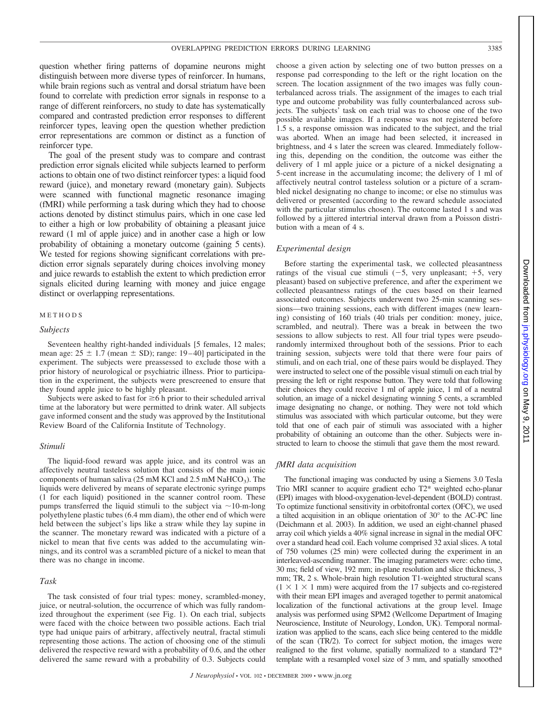question whether firing patterns of dopamine neurons might distinguish between more diverse types of reinforcer. In humans, while brain regions such as ventral and dorsal striatum have been found to correlate with prediction error signals in response to a range of different reinforcers, no study to date has systematically compared and contrasted prediction error responses to different reinforcer types, leaving open the question whether prediction error representations are common or distinct as a function of reinforcer type.

The goal of the present study was to compare and contrast prediction error signals elicited while subjects learned to perform actions to obtain one of two distinct reinforcer types: a liquid food reward (juice), and monetary reward (monetary gain). Subjects were scanned with functional magnetic resonance imaging (fMRI) while performing a task during which they had to choose actions denoted by distinct stimulus pairs, which in one case led to either a high or low probability of obtaining a pleasant juice reward (1 ml of apple juice) and in another case a high or low probability of obtaining a monetary outcome (gaining 5 cents). We tested for regions showing significant correlations with prediction error signals separately during choices involving money and juice rewards to establish the extent to which prediction error signals elicited during learning with money and juice engage distinct or overlapping representations.

## METHODS

#### *Subjects*

Seventeen healthy right-handed individuals [5 females, 12 males; mean age:  $25 \pm 1.7$  (mean  $\pm$  SD); range: 19–40] participated in the experiment. The subjects were preassessed to exclude those with a prior history of neurological or psychiatric illness. Prior to participation in the experiment, the subjects were prescreened to ensure that they found apple juice to be highly pleasant.

Subjects were asked to fast for  $\geq 6$  h prior to their scheduled arrival time at the laboratory but were permitted to drink water. All subjects gave informed consent and the study was approved by the Institutional Review Board of the California Institute of Technology.

#### *Stimuli*

The liquid-food reward was apple juice, and its control was an affectively neutral tasteless solution that consists of the main ionic components of human saliva (25 mM KCl and 2.5 mM NaHCO<sub>3</sub>). The liquids were delivered by means of separate electronic syringe pumps (1 for each liquid) positioned in the scanner control room. These pumps transferred the liquid stimuli to the subject via  $\sim$  10-m-long polyethylene plastic tubes (6.4 mm diam), the other end of which were held between the subject's lips like a straw while they lay supine in the scanner. The monetary reward was indicated with a picture of a nickel to mean that five cents was added to the accumulating winnings, and its control was a scrambled picture of a nickel to mean that there was no change in income.

#### *Task*

The task consisted of four trial types: money, scrambled-money, juice, or neutral-solution, the occurrence of which was fully randomized throughout the experiment (see Fig. 1). On each trial, subjects were faced with the choice between two possible actions. Each trial type had unique pairs of arbitrary, affectively neutral, fractal stimuli representing those actions. The action of choosing one of the stimuli delivered the respective reward with a probability of 0.6, and the other delivered the same reward with a probability of 0.3. Subjects could choose a given action by selecting one of two button presses on a response pad corresponding to the left or the right location on the screen. The location assignment of the two images was fully counterbalanced across trials. The assignment of the images to each trial type and outcome probability was fully counterbalanced across subjects. The subjects' task on each trial was to choose one of the two possible available images. If a response was not registered before 1.5 s, a response omission was indicated to the subject, and the trial was aborted. When an image had been selected, it increased in brightness, and 4 s later the screen was cleared. Immediately following this, depending on the condition, the outcome was either the delivery of 1 ml apple juice or a picture of a nickel designating a 5-cent increase in the accumulating income; the delivery of 1 ml of affectively neutral control tasteless solution or a picture of a scrambled nickel designating no change to income; or else no stimulus was delivered or presented (according to the reward schedule associated with the particular stimulus chosen). The outcome lasted 1 s and was followed by a jittered intertrial interval drawn from a Poisson distribution with a mean of 4 s.

#### *Experimental design*

Before starting the experimental task, we collected pleasantness ratings of the visual cue stimuli  $(-5, \text{very unpleasant}; +5, \text{very}$ pleasant) based on subjective preference, and after the experiment we collected pleasantness ratings of the cues based on their learned associated outcomes. Subjects underwent two 25-min scanning sessions—two training sessions, each with different images (new learning) consisting of 160 trials (40 trials per condition: money, juice, scrambled, and neutral). There was a break in between the two sessions to allow subjects to rest. All four trial types were pseudorandomly intermixed throughout both of the sessions. Prior to each training session, subjects were told that there were four pairs of stimuli, and on each trial, one of these pairs would be displayed. They were instructed to select one of the possible visual stimuli on each trial by pressing the left or right response button. They were told that following their choices they could receive 1 ml of apple juice, 1 ml of a neutral solution, an image of a nickel designating winning 5 cents, a scrambled image designating no change, or nothing. They were not told which stimulus was associated with which particular outcome, but they were told that one of each pair of stimuli was associated with a higher probability of obtaining an outcome than the other. Subjects were instructed to learn to choose the stimuli that gave them the most reward.

### *fMRI data acquisition*

The functional imaging was conducted by using a Siemens 3.0 Tesla Trio MRI scanner to acquire gradient echo T2\* weighted echo-planar (EPI) images with blood-oxygenation-level-dependent (BOLD) contrast. To optimize functional sensitivity in orbitofrontal cortex (OFC), we used a tilted acquisition in an oblique orientation of 30° to the AC-PC line (Deichmann et al. 2003). In addition, we used an eight-channel phased array coil which yields a 40% signal increase in signal in the medial OFC over a standard head coil. Each volume comprised 32 axial slices. A total of 750 volumes (25 min) were collected during the experiment in an interleaved-ascending manner. The imaging parameters were: echo time, 30 ms; field of view, 192 mm; in-plane resolution and slice thickness, 3 mm; TR, 2 s. Whole-brain high resolution T1-weighted structural scans  $(1 \times 1 \times 1$  mm) were acquired from the 17 subjects and co-registered with their mean EPI images and averaged together to permit anatomical localization of the functional activations at the group level. Image analysis was performed using SPM2 (Wellcome Department of Imaging Neuroscience, Institute of Neurology, London, UK). Temporal normalization was applied to the scans, each slice being centered to the middle of the scan (TR/2). To correct for subject motion, the images were realigned to the first volume, spatially normalized to a standard T2\* template with a resampled voxel size of 3 mm, and spatially smoothed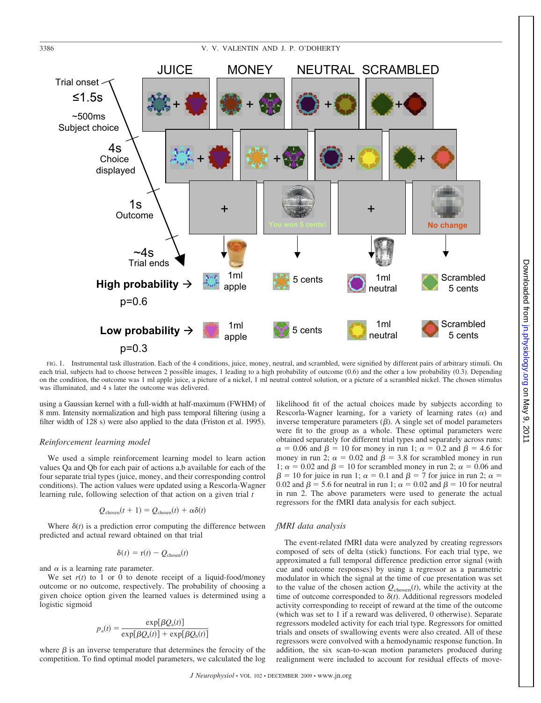

on May 9, 2011 [jn.physiology.org](http://jn.physiology.org/) Downloaded from

 $-2011$ 

Downloaded from jn.physiology.org on May 9,

FIG. 1. Instrumental task illustration. Each of the 4 conditions, juice, money, neutral, and scrambled, were signified by different pairs of arbitrary stimuli. On each trial, subjects had to choose between 2 possible images, 1 leading to a high probability of outcome (0.6) and the other a low probability (0.3). Depending on the condition, the outcome was 1 ml apple juice, a picture of a nickel, 1 ml neutral control solution, or a picture of a scrambled nickel. The chosen stimulus was illuminated, and 4 s later the outcome was delivered.

using a Gaussian kernel with a full-width at half-maximum (FWHM) of 8 mm. Intensity normalization and high pass temporal filtering (using a filter width of 128 s) were also applied to the data (Friston et al. 1995).

#### *Reinforcement learning model*

We used a simple reinforcement learning model to learn action values Qa and Qb for each pair of actions a,b available for each of the four separate trial types (juice, money, and their corresponding control conditions). The action values were updated using a Rescorla-Wagner learning rule, following selection of that action on a given trial *t*

$$
Q_{\text{chosen}}(t+1) = Q_{\text{chosen}}(t) + \alpha \delta(t)
$$

Where  $\delta(t)$  is a prediction error computing the difference between predicted and actual reward obtained on that trial

$$
\delta(t) = \mathbf{r}(t) - Q_{\text{chosen}}(t)
$$

and  $\alpha$  is a learning rate parameter.

We set  $r(t)$  to 1 or 0 to denote receipt of a liquid-food/money outcome or no outcome, respectively. The probability of choosing a given choice option given the learned values is determined using a logistic sigmoid

$$
p_a(t) = \frac{\exp[\beta Q_a(t)]}{\exp[\beta Q_a(t)] + \exp[\beta Q_b(t)]}
$$

where  $\beta$  is an inverse temperature that determines the ferocity of the competition. To find optimal model parameters, we calculated the log likelihood fit of the actual choices made by subjects according to Rescorla-Wagner learning, for a variety of learning rates  $(\alpha)$  and inverse temperature parameters  $(\beta)$ . A single set of model parameters were fit to the group as a whole. These optimal parameters were obtained separately for different trial types and separately across runs:  $\alpha = 0.06$  and  $\beta = 10$  for money in run 1;  $\alpha = 0.2$  and  $\beta = 4.6$  for money in run 2;  $\alpha = 0.02$  and  $\beta = 3.8$  for scrambled money in run 1;  $\alpha = 0.02$  and  $\beta = 10$  for scrambled money in run 2;  $\alpha = 0.06$  and  $\beta = 10$  for juice in run 1;  $\alpha = 0.1$  and  $\beta = 7$  for juice in run 2;  $\alpha =$ 0.02 and  $\beta$  = 5.6 for neutral in run 1;  $\alpha$  = 0.02 and  $\beta$  = 10 for neutral in run 2. The above parameters were used to generate the actual regressors for the fMRI data analysis for each subject.

#### *fMRI data analysis*

The event-related fMRI data were analyzed by creating regressors composed of sets of delta (stick) functions. For each trial type, we approximated a full temporal difference prediction error signal (with cue and outcome responses) by using a regressor as a parametric modulator in which the signal at the time of cue presentation was set to the value of the chosen action  $Q_{\text{chosen}}(t)$ , while the activity at the time of outcome corresponded to  $\delta(t)$ . Additional regressors modeled activity corresponding to receipt of reward at the time of the outcome (which was set to 1 if a reward was delivered, 0 otherwise). Separate regressors modeled activity for each trial type. Regressors for omitted trials and onsets of swallowing events were also created. All of these regressors were convolved with a hemodynamic response function. In addition, the six scan-to-scan motion parameters produced during realignment were included to account for residual effects of move-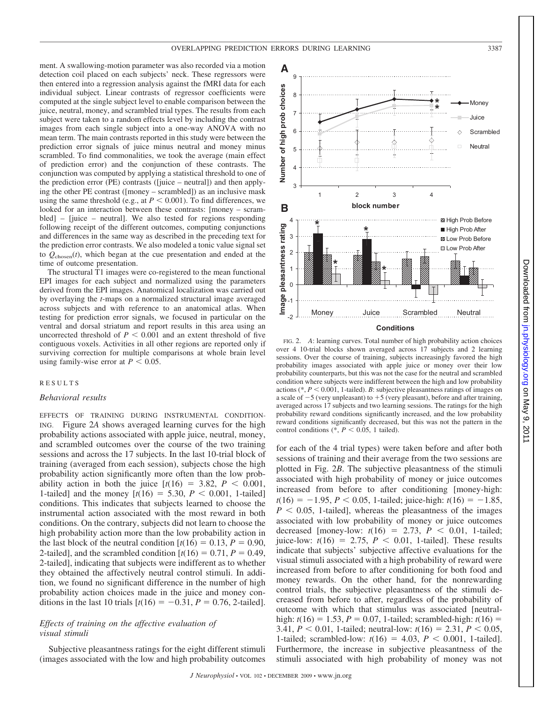ment. A swallowing-motion parameter was also recorded via a motion detection coil placed on each subjects' neck. These regressors were then entered into a regression analysis against the fMRI data for each individual subject. Linear contrasts of regressor coefficients were computed at the single subject level to enable comparison between the juice, neutral, money, and scrambled trial types. The results from each subject were taken to a random effects level by including the contrast images from each single subject into a one-way ANOVA with no mean term. The main contrasts reported in this study were between the prediction error signals of juice minus neutral and money minus scrambled. To find commonalities, we took the average (main effect of prediction error) and the conjunction of these contrasts. The conjunction was computed by applying a statistical threshold to one of the prediction error (PE) contrasts ([juice – neutral]) and then applying the other PE contrast ([money – scrambled]) as an inclusive mask using the same threshold (e.g., at  $P < 0.001$ ). To find differences, we looked for an interaction between these contrasts: [money – scrambled] – [juice – neutral]. We also tested for regions responding following receipt of the different outcomes, computing conjunctions and differences in the same way as described in the preceding text for the prediction error contrasts. We also modeled a tonic value signal set to  $Q_{\text{chosen}}(t)$ , which began at the cue presentation and ended at the time of outcome presentation.

The structural T1 images were co-registered to the mean functional EPI images for each subject and normalized using the parameters derived from the EPI images. Anatomical localization was carried out by overlaying the *t*-maps on a normalized structural image averaged across subjects and with reference to an anatomical atlas. When testing for prediction error signals, we focused in particular on the ventral and dorsal striatum and report results in this area using an uncorrected threshold of  $P < 0.001$  and an extent threshold of five contiguous voxels. Activities in all other regions are reported only if surviving correction for multiple comparisons at whole brain level using family-wise error at  $P < 0.05$ .

## RESULTS

### *Behavioral results*

EFFECTS OF TRAINING DURING INSTRUMENTAL CONDITION-ING. Figure 2*A* shows averaged learning curves for the high probability actions associated with apple juice, neutral, money, and scrambled outcomes over the course of the two training sessions and across the 17 subjects. In the last 10-trial block of training (averaged from each session), subjects chose the high probability action significantly more often than the low probability action in both the juice  $[t(16) = 3.82, P < 0.001,$ 1-tailed] and the money  $[t(16) = 5.30, P < 0.001, 1$ -tailed] conditions. This indicates that subjects learned to choose the instrumental action associated with the most reward in both conditions. On the contrary, subjects did not learn to choose the high probability action more than the low probability action in the last block of the neutral condition  $[t(16) = 0.13, P = 0.90,$ 2-tailed], and the scrambled condition  $[t(16) = 0.71, P = 0.49,$ 2-tailed], indicating that subjects were indifferent as to whether they obtained the affectively neutral control stimuli. In addition, we found no significant difference in the number of high probability action choices made in the juice and money conditions in the last 10 trials  $[t(16) = -0.31, P = 0.76, 2$ -tailed].

## *Effects of training on the affective evaluation of visual stimuli*

Subjective pleasantness ratings for the eight different stimuli (images associated with the low and high probability outcomes



FIG. 2. *A*: learning curves. Total number of high probability action choices over 4 10-trial blocks shown averaged across 17 subjects and 2 learning sessions. Over the course of training, subjects increasingly favored the high probability images associated with apple juice or money over their low probability counterparts, but this was not the case for the neutral and scrambled condition where subjects were indifferent between the high and low probability actions  $(*, P < 0.001, 1$ -tailed). *B*: subjective pleasantness ratings of images on a scale of  $-5$  (very unpleasant) to  $+5$  (very pleasant), before and after training, averaged across 17 subjects and two learning sessions. The ratings for the high probability reward conditions significantly increased, and the low probability reward conditions significantly decreased, but this was not the pattern in the

control conditions ( $P < 0.05$ , 1 tailed).

for each of the 4 trial types) were taken before and after both sessions of training and their average from the two sessions are plotted in Fig. 2*B*. The subjective pleasantness of the stimuli associated with high probability of money or juice outcomes increased from before to after conditioning [money-high:  $t(16) = -1.95, P < 0.05, 1$ -tailed; juice-high:  $t(16) = -1.85$ ,  $P < 0.05$ , 1-tailed], whereas the pleasantness of the images associated with low probability of money or juice outcomes decreased [money-low:  $t(16) = 2.73$ ,  $P < 0.01$ , 1-tailed; juice-low:  $t(16) = 2.75$ ,  $P < 0.01$ , 1-tailed]. These results indicate that subjects' subjective affective evaluations for the visual stimuli associated with a high probability of reward were increased from before to after conditioning for both food and money rewards. On the other hand, for the nonrewarding control trials, the subjective pleasantness of the stimuli decreased from before to after, regardless of the probability of outcome with which that stimulus was associated [neutralhigh:  $t(16) = 1.53$ ,  $P = 0.07$ , 1-tailed; scrambled-high:  $t(16) =$ 3.41,  $P < 0.01$ , 1-tailed; neutral-low:  $t(16) = 2.31$ ,  $P < 0.05$ , 1-tailed; scrambled-low:  $t(16) = 4.03$ ,  $P < 0.001$ , 1-tailed]. Furthermore, the increase in subjective pleasantness of the stimuli associated with high probability of money was not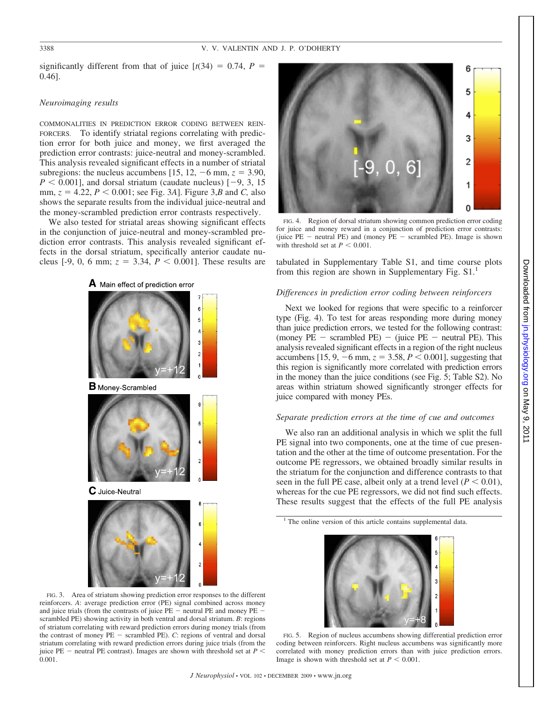#### 3388 V. V. VALENTIN AND J. P. O'DOHERTY

significantly different from that of juice  $[t(34) = 0.74, P =$ 0.46].

## *Neuroimaging results*

COMMONALITIES IN PREDICTION ERROR CODING BETWEEN REIN-FORCERS. To identify striatal regions correlating with prediction error for both juice and money, we first averaged the prediction error contrasts: juice-neutral and money-scrambled. This analysis revealed significant effects in a number of striatal subregions: the nucleus accumbens  $[15, 12, -6$  mm,  $z = 3.90$ ,  $P < 0.001$ ], and dorsal striatum (caudate nucleus)  $[-9, 3, 15]$ mm,  $z = 4.22$ ,  $P < 0.001$ ; see Fig. 3A]. Figure 3,*B* and *C*, also shows the separate results from the individual juice-neutral and the money-scrambled prediction error contrasts respectively.

We also tested for striatal areas showing significant effects in the conjunction of juice-neutral and money-scrambled prediction error contrasts. This analysis revealed significant effects in the dorsal striatum, specifically anterior caudate nucleus [-9, 0, 6 mm;  $z = 3.34$ ,  $P < 0.001$ ]. These results are





FIG. 3. Area of striatum showing prediction error responses to the different reinforcers. *A*: average prediction error (PE) signal combined across money and juice trials (from the contrasts of juice  $PE$  – neutral  $PE$  and money  $PE$  – scrambled PE) showing activity in both ventral and dorsal striatum. *B*: regions of striatum correlating with reward prediction errors during money trials (from the contrast of money  $PE$  – scrambled  $PE$ ). *C*: regions of ventral and dorsal striatum correlating with reward prediction errors during juice trials (from the juice PE  $-$  neutral PE contrast). Images are shown with threshold set at  $P \leq$ 0.001.



FIG. 4. Region of dorsal striatum showing common prediction error coding for juice and money reward in a conjunction of prediction error contrasts: (juice  $PE$  – neutral  $PE$ ) and (money  $PE$  – scrambled  $PE$ ). Image is shown with threshold set at  $P \leq 0.001$ .

tabulated in Supplementary Table S1, and time course plots from this region are shown in Supplementary Fig.  $S1<sup>1</sup>$ 

## *Differences in prediction error coding between reinforcers*

Next we looked for regions that were specific to a reinforcer type (Fig. 4). To test for areas responding more during money than juice prediction errors, we tested for the following contrast: (money  $PE$  – scrambled  $PE$ ) – (juice  $PE$  – neutral PE). This analysis revealed significant effects in a region of the right nucleus accumbens  $[15, 9, -6$  mm,  $z = 3.58$ ,  $P < 0.001$ ], suggesting that this region is significantly more correlated with prediction errors in the money than the juice conditions (see Fig. 5; Table S2). No areas within striatum showed significantly stronger effects for juice compared with money PEs.

## *Separate prediction errors at the time of cue and outcomes*

We also ran an additional analysis in which we split the full PE signal into two components, one at the time of cue presentation and the other at the time of outcome presentation. For the outcome PE regressors, we obtained broadly similar results in the striatum for the conjunction and difference contrasts to that seen in the full PE case, albeit only at a trend level  $(P < 0.01)$ , whereas for the cue PE regressors, we did not find such effects. These results suggest that the effects of the full PE analysis

<sup>1</sup> The online version of this article contains supplemental data.



FIG. 5. Region of nucleus accumbens showing differential prediction error coding between reinforcers. Right nucleus accumbens was significantly more correlated with money prediction errors than with juice prediction errors. Image is shown with threshold set at  $P \leq 0.001$ .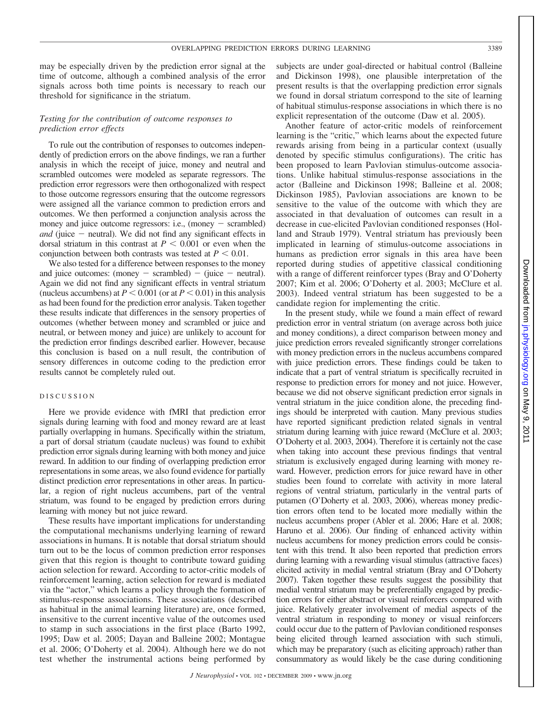may be especially driven by the prediction error signal at the time of outcome, although a combined analysis of the error signals across both time points is necessary to reach our threshold for significance in the striatum.

## *Testing for the contribution of outcome responses to prediction error effects*

To rule out the contribution of responses to outcomes independently of prediction errors on the above findings, we ran a further analysis in which the receipt of juice, money and neutral and scrambled outcomes were modeled as separate regressors. The prediction error regressors were then orthogonalized with respect to those outcome regressors ensuring that the outcome regressors were assigned all the variance common to prediction errors and outcomes. We then performed a conjunction analysis across the money and juice outcome regressors: i.e.,  $(money - scrambled)$ *and* (juice  $-$  neutral). We did not find any significant effects in dorsal striatum in this contrast at  $P < 0.001$  or even when the conjunction between both contrasts was tested at  $P \leq 0.01$ .

We also tested for a difference between responses to the money and juice outcomes: (money  $-$  scrambled)  $-$  (juice  $-$  neutral). Again we did not find any significant effects in ventral striatum (nucleus accumbens) at  $P < 0.001$  (or at  $P < 0.01$ ) in this analysis as had been found for the prediction error analysis. Taken together these results indicate that differences in the sensory properties of outcomes (whether between money and scrambled or juice and neutral, or between money and juice) are unlikely to account for the prediction error findings described earlier. However, because this conclusion is based on a null result, the contribution of sensory differences in outcome coding to the prediction error results cannot be completely ruled out.

## DISCUSSION

Here we provide evidence with fMRI that prediction error signals during learning with food and money reward are at least partially overlapping in humans. Specifically within the striatum, a part of dorsal striatum (caudate nucleus) was found to exhibit prediction error signals during learning with both money and juice reward. In addition to our finding of overlapping prediction error representations in some areas, we also found evidence for partially distinct prediction error representations in other areas. In particular, a region of right nucleus accumbens, part of the ventral striatum, was found to be engaged by prediction errors during learning with money but not juice reward.

These results have important implications for understanding the computational mechanisms underlying learning of reward associations in humans. It is notable that dorsal striatum should turn out to be the locus of common prediction error responses given that this region is thought to contribute toward guiding action selection for reward. According to actor-critic models of reinforcement learning, action selection for reward is mediated via the "actor," which learns a policy through the formation of stimulus-response associations. These associations (described as habitual in the animal learning literature) are, once formed, insensitive to the current incentive value of the outcomes used to stamp in such associations in the first place (Barto 1992, 1995; Daw et al. 2005; Dayan and Balleine 2002; Montague et al. 2006; O'Doherty et al. 2004). Although here we do not test whether the instrumental actions being performed by subjects are under goal-directed or habitual control (Balleine and Dickinson 1998), one plausible interpretation of the present results is that the overlapping prediction error signals we found in dorsal striatum correspond to the site of learning of habitual stimulus-response associations in which there is no explicit representation of the outcome (Daw et al. 2005).

Another feature of actor-critic models of reinforcement learning is the "critic," which learns about the expected future rewards arising from being in a particular context (usually denoted by specific stimulus configurations). The critic has been proposed to learn Pavlovian stimulus-outcome associations. Unlike habitual stimulus-response associations in the actor (Balleine and Dickinson 1998; Balleine et al. 2008; Dickinson 1985), Pavlovian associations are known to be sensitive to the value of the outcome with which they are associated in that devaluation of outcomes can result in a decrease in cue-elicited Pavlovian conditioned responses (Holland and Straub 1979). Ventral striatum has previously been implicated in learning of stimulus-outcome associations in humans as prediction error signals in this area have been reported during studies of appetitive classical conditioning with a range of different reinforcer types (Bray and O'Doherty 2007; Kim et al. 2006; O'Doherty et al. 2003; McClure et al. 2003). Indeed ventral striatum has been suggested to be a candidate region for implementing the critic.

In the present study, while we found a main effect of reward prediction error in ventral striatum (on average across both juice and money conditions), a direct comparison between money and juice prediction errors revealed significantly stronger correlations with money prediction errors in the nucleus accumbens compared with juice prediction errors. These findings could be taken to indicate that a part of ventral striatum is specifically recruited in response to prediction errors for money and not juice. However, because we did not observe significant prediction error signals in ventral striatum in the juice condition alone, the preceding findings should be interpreted with caution. Many previous studies have reported significant prediction related signals in ventral striatum during learning with juice reward (McClure et al. 2003; O'Doherty et al. 2003, 2004). Therefore it is certainly not the case when taking into account these previous findings that ventral striatum is exclusively engaged during learning with money reward. However, prediction errors for juice reward have in other studies been found to correlate with activity in more lateral regions of ventral striatum, particularly in the ventral parts of putamen (O'Doherty et al. 2003, 2006), whereas money prediction errors often tend to be located more medially within the nucleus accumbens proper (Abler et al. 2006; Hare et al. 2008; Haruno et al. 2006). Our finding of enhanced activity within nucleus accumbens for money prediction errors could be consistent with this trend. It also been reported that prediction errors during learning with a rewarding visual stimulus (attractive faces) elicited activity in medial ventral striatum (Bray and O'Doherty 2007). Taken together these results suggest the possibility that medial ventral striatum may be preferentially engaged by prediction errors for either abstract or visual reinforcers compared with juice. Relatively greater involvement of medial aspects of the ventral striatum in responding to money or visual reinforcers could occur due to the pattern of Pavlovian conditioned responses being elicited through learned association with such stimuli, which may be preparatory (such as eliciting approach) rather than consummatory as would likely be the case during conditioning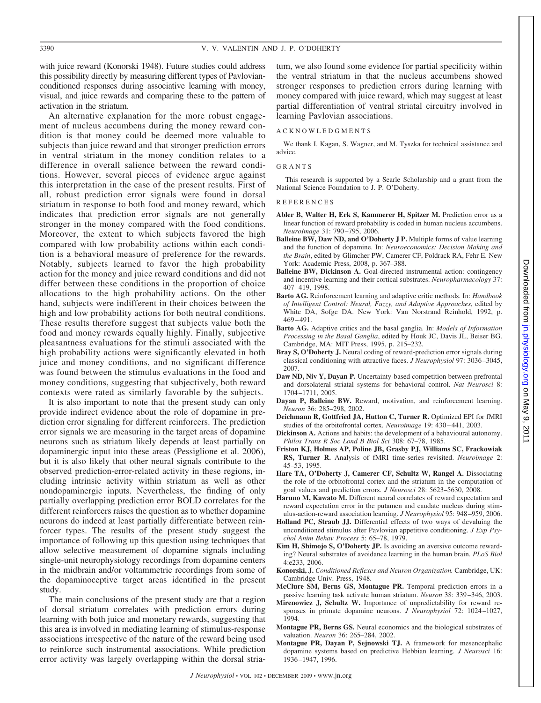with juice reward (Konorski 1948). Future studies could address this possibility directly by measuring different types of Pavlovianconditioned responses during associative learning with money, visual, and juice rewards and comparing these to the pattern of activation in the striatum.

An alternative explanation for the more robust engagement of nucleus accumbens during the money reward condition is that money could be deemed more valuable to subjects than juice reward and that stronger prediction errors in ventral striatum in the money condition relates to a difference in overall salience between the reward conditions. However, several pieces of evidence argue against this interpretation in the case of the present results. First of all, robust prediction error signals were found in dorsal striatum in response to both food and money reward, which indicates that prediction error signals are not generally stronger in the money compared with the food conditions. Moreover, the extent to which subjects favored the high compared with low probability actions within each condition is a behavioral measure of preference for the rewards. Notably, subjects learned to favor the high probability action for the money and juice reward conditions and did not differ between these conditions in the proportion of choice allocations to the high probability actions. On the other hand, subjects were indifferent in their choices between the high and low probability actions for both neutral conditions. These results therefore suggest that subjects value both the food and money rewards equally highly. Finally, subjective pleasantness evaluations for the stimuli associated with the high probability actions were significantly elevated in both juice and money conditions, and no significant difference was found between the stimulus evaluations in the food and money conditions, suggesting that subjectively, both reward contexts were rated as similarly favorable by the subjects.

It is also important to note that the present study can only provide indirect evidence about the role of dopamine in prediction error signaling for different reinforcers. The prediction error signals we are measuring in the target areas of dopamine neurons such as striatum likely depends at least partially on dopaminergic input into these areas (Pessiglione et al. 2006), but it is also likely that other neural signals contribute to the observed prediction-error-related activity in these regions, including intrinsic activity within striatum as well as other nondopaminergic inputs. Nevertheless, the finding of only partially overlapping prediction error BOLD correlates for the different reinforcers raises the question as to whether dopamine neurons do indeed at least partially differentiate between reinforcer types. The results of the present study suggest the importance of following up this question using techniques that allow selective measurement of dopamine signals including single-unit neurophysiology recordings from dopamine centers in the midbrain and/or voltammetric recordings from some of the dopaminoceptive target areas identified in the present study.

The main conclusions of the present study are that a region of dorsal striatum correlates with prediction errors during learning with both juice and monetary rewards, suggesting that this area is involved in mediating learning of stimulus-response associations irrespective of the nature of the reward being used to reinforce such instrumental associations. While prediction error activity was largely overlapping within the dorsal striatum, we also found some evidence for partial specificity within the ventral striatum in that the nucleus accumbens showed stronger responses to prediction errors during learning with money compared with juice reward, which may suggest at least partial differentiation of ventral striatal circuitry involved in learning Pavlovian associations.

#### ACKNOWLEDGMENTS

We thank I. Kagan, S. Wagner, and M. Tyszka for technical assistance and advice.

#### GRANTS

This research is supported by a Searle Scholarship and a grant from the National Science Foundation to J. P. O'Doherty.

#### REFERENCES

- **Abler B, Walter H, Erk S, Kammerer H, Spitzer M.** Prediction error as a linear function of reward probability is coded in human nucleus accumbens. *NeuroImage* 31: 790 –795, 2006.
- **Balleine BW, Daw ND, and O'Doherty J P.** Multiple forms of value learning and the function of dopamine. In: *Neuroeconomics: Decision Making and the Brain*, edited by Glimcher PW, Camerer CF, Poldrack RA, Fehr E. New York: Academic Press, 2008, p. 367–388.
- **Balleine BW, Dickinson A.** Goal-directed instrumental action: contingency and incentive learning and their cortical substrates. *Neuropharmacology* 37: 407– 419, 1998.
- **Barto AG.** Reinforcement learning and adaptive critic methods. In: *Handbook of Intelligent Control: Neural, Fuzzy, and Adaptive Approaches*, edited by White DA, Sofge DA. New York: Van Norstrand Reinhold, 1992, p. 469 – 491.
- **Barto AG.** Adaptive critics and the basal ganglia. In: *Models of Information Processing in the Basal Ganglia*, edited by Houk JC, Davis JL, Beiser BG. Cambridge, MA: MIT Press, 1995, p. 215–232.
- **Bray S, O'Doherty J.** Neural coding of reward-prediction error signals during classical conditioning with attractive faces. *J Neurophysiol* 97: 3036 –3045, 2007.
- **Daw ND, Niv Y, Dayan P.** Uncertainty-based competition between prefrontal and dorsolateral striatal systems for behavioral control. *Nat Neurosci* 8: 1704 –1711, 2005.
- **Dayan P, Balleine BW.** Reward, motivation, and reinforcement learning. *Neuron* 36: 285–298, 2002.
- **Deichmann R, Gottfried JA, Hutton C, Turner R.** Optimized EPI for fMRI studies of the orbitofrontal cortex. *Neuroimage* 19: 430 – 441, 2003.
- **Dickinson A.** Actions and habits: the development of a behavioural autonomy. *Philos Trans R Soc Lond B Biol Sci* 308: 67–78, 1985.
- **Friston KJ, Holmes AP, Poline JB, Grasby PJ, Williams SC, Frackowiak RS, Turner R.** Analysis of fMRI time-series revisited. *Neuroimage* 2: 45–53, 1995.
- **Hare TA, O'Doherty J, Camerer CF, Schultz W, Rangel A.** Dissociating the role of the orbitofrontal cortex and the striatum in the computation of goal values and prediction errors. *J Neurosci* 28: 5623–5630, 2008.
- **Haruno M, Kawato M.** Different neural correlates of reward expectation and reward expectation error in the putamen and caudate nucleus during stimulus-action-reward association learning. *J Neurophysiol* 95: 948 –959, 2006.
- **Holland PC, Straub JJ.** Differential effects of two ways of devaluing the unconditioned stimulus after Pavlovian appetitive conditioning. *J Exp Psychol Anim Behav Process* 5: 65–78, 1979.
- **Kim H, Shimojo S, O'Doherty JP.** Is avoiding an aversive outcome rewarding? Neural substrates of avoidance learning in the human brain. *PLoS Biol* 4:e233, 2006.
- **Konorski, J.** *Conditioned Reflexes and Neuron Organization.* Cambridge, UK: Cambridge Univ. Press, 1948.
- **McClure SM, Berns GS, Montague PR.** Temporal prediction errors in a passive learning task activate human striatum. *Neuron* 38: 339 –346, 2003.
- **Mirenowicz J, Schultz W.** Importance of unpredictability for reward responses in primate dopamine neurons. *J Neurophysiol* 72: 1024 –1027, 1994.
- **Montague PR, Berns GS.** Neural economics and the biological substrates of valuation. *Neuron* 36: 265–284, 2002.
- **Montague PR, Dayan P, Sejnowski TJ.** A framework for mesencephalic dopamine systems based on predictive Hebbian learning. *J Neurosci* 16: 1936 –1947, 1996.